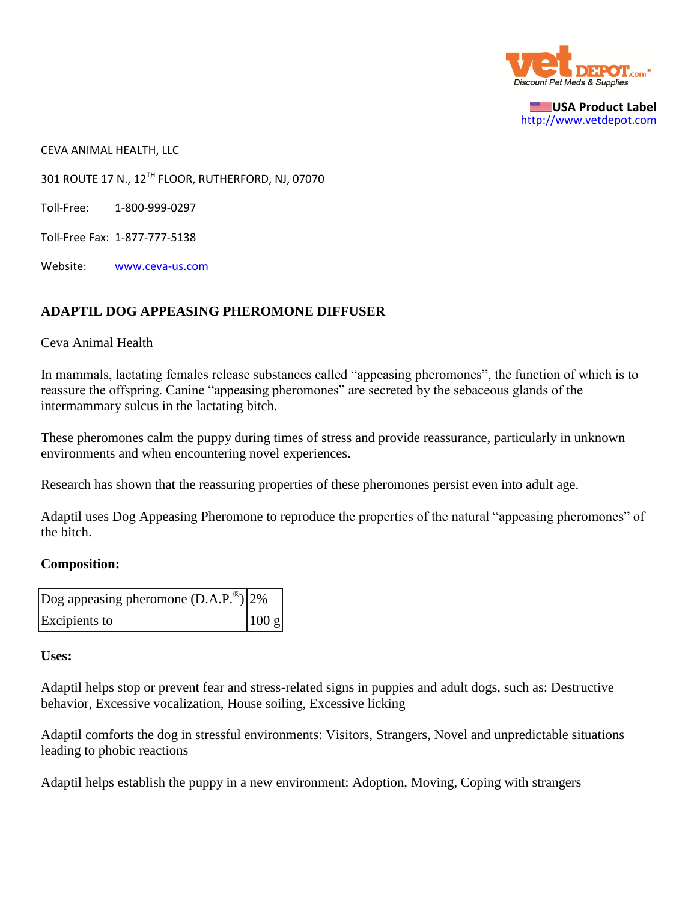

**USA Product Label** [http://www.vetdepot.com](http://www.vetdepot.com/)

CEVA ANIMAL HEALTH, LLC

301 ROUTE 17 N., 12TH FLOOR, RUTHERFORD, NJ, 07070

Toll-Free: 1-800-999-0297

Toll-Free Fax: 1-877-777-5138

Website: [www.ceva-us.com](http://www.ceva-us.com/)

#### **ADAPTIL DOG APPEASING PHEROMONE DIFFUSER**

#### Ceva Animal Health

In mammals, lactating females release substances called "appeasing pheromones", the function of which is to reassure the offspring. Canine "appeasing pheromones" are secreted by the sebaceous glands of the intermammary sulcus in the lactating bitch.

These pheromones calm the puppy during times of stress and provide reassurance, particularly in unknown environments and when encountering novel experiences.

Research has shown that the reassuring properties of these pheromones persist even into adult age.

Adaptil uses Dog Appeasing Pheromone to reproduce the properties of the natural "appeasing pheromones" of the bitch.

#### **Composition:**

| Dog appeasing pheromone $(D.A.P.^@) 2\%$ |       |
|------------------------------------------|-------|
| Excipients to                            | 100 g |

#### **Uses:**

Adaptil helps stop or prevent fear and stress-related signs in puppies and adult dogs, such as: Destructive behavior, Excessive vocalization, House soiling, Excessive licking

Adaptil comforts the dog in stressful environments: Visitors, Strangers, Novel and unpredictable situations leading to phobic reactions

Adaptil helps establish the puppy in a new environment: Adoption, Moving, Coping with strangers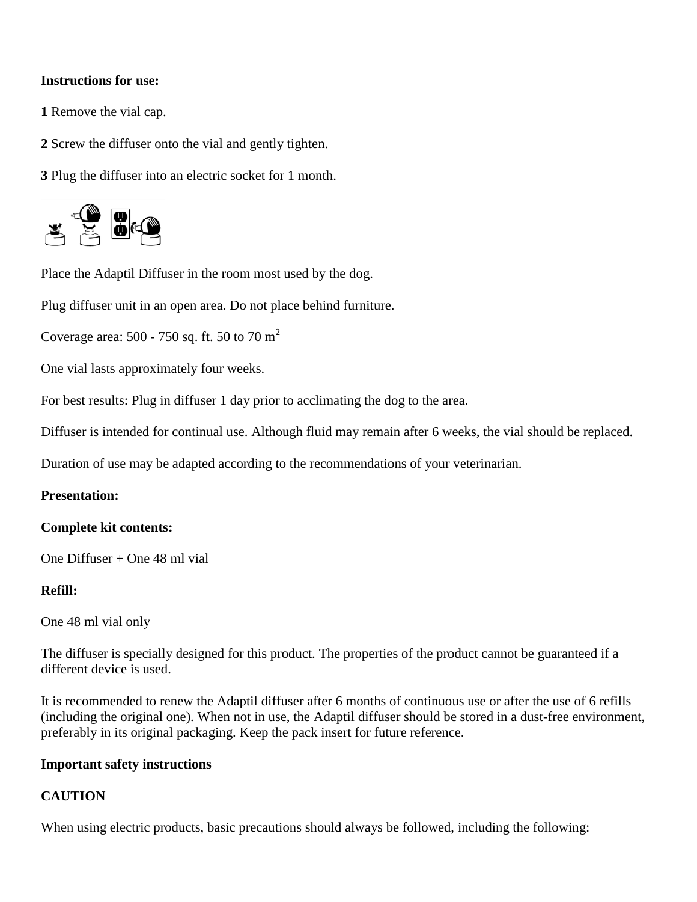## **Instructions for use:**

**1** Remove the vial cap.

**2** Screw the diffuser onto the vial and gently tighten.

**3** Plug the diffuser into an electric socket for 1 month.



Place the Adaptil Diffuser in the room most used by the dog.

Plug diffuser unit in an open area. Do not place behind furniture.

Coverage area:  $500 - 750$  sq. ft. 50 to 70 m<sup>2</sup>

One vial lasts approximately four weeks.

For best results: Plug in diffuser 1 day prior to acclimating the dog to the area.

Diffuser is intended for continual use. Although fluid may remain after 6 weeks, the vial should be replaced.

Duration of use may be adapted according to the recommendations of your veterinarian.

#### **Presentation:**

#### **Complete kit contents:**

One Diffuser + One 48 ml vial

### **Refill:**

One 48 ml vial only

The diffuser is specially designed for this product. The properties of the product cannot be guaranteed if a different device is used.

It is recommended to renew the Adaptil diffuser after 6 months of continuous use or after the use of 6 refills (including the original one). When not in use, the Adaptil diffuser should be stored in a dust-free environment, preferably in its original packaging. Keep the pack insert for future reference.

#### **Important safety instructions**

## **CAUTION**

When using electric products, basic precautions should always be followed, including the following: